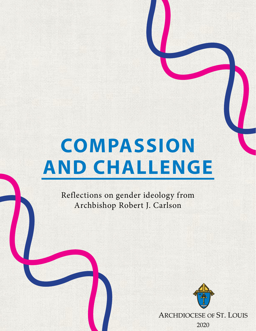# **COMPASSION AND CHALLENGE**

Reflections on gender ideology from Archbishop Robert J. Carlson



ARCHDIOCESE OF ST. LOUIS

2020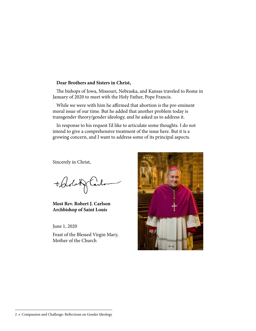#### **Dear Brothers and Sisters in Christ,**

The bishops of Iowa, Missouri, Nebraska, and Kansas traveled to Rome in January of 2020 to meet with the Holy Father, Pope Francis.

While we were with him he affirmed that abortion is the pre-eminent moral issue of our time. But he added that another problem today is transgender theory/gender ideology, and he asked us to address it.

In response to his request I'd like to articulate some thoughts. I do not intend to give a comprehensive treatment of the issue here. But it is a growing concern, and I want to address some of its principal aspects.

Sincerely in Christ,

tobolu

**Most Rev. Robert J. Carlson Archbishop of Saint Louis**

June 1, 2020

Feast of the Blessed Virgin Mary, Mother of the Church

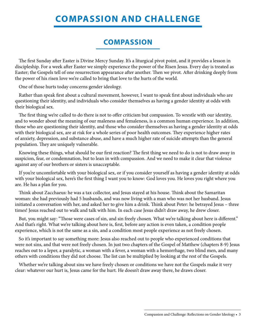## **COMPASSION AND CHALLENGE**

#### **COMPASSION**

The first Sunday after Easter is Divine Mercy Sunday. It's a liturgical pivot point, and it provides a lesson in discipleship. For a week after Easter we simply experience the power of the Risen Jesus. Every day is treated as Easter; the Gospels tell of one resurrection appearance after another. Then we pivot. After drinking deeply from the power of his risen love we're called to bring that love to the hurts of the world.

One of those hurts today concerns gender ideology.

Rather than speak first about a cultural movement, however, I want to speak first about individuals who are questioning their identity, and individuals who consider themselves as having a gender identity at odds with their biological sex.

The first thing we're called to do there is not to offer criticism but compassion. To wrestle with our identity, and to wonder about the meaning of our maleness and femaleness, is a common human experience. In addition, those who are questioning their identity, and those who consider themselves as having a gender identity at odds with their biological sex, are at risk for a whole series of poor health outcomes. They experience higher rates of anxiety, depression, and substance abuse, and have a much higher rate of suicide attempts than the general population. They are uniquely vulnerable.

Knowing these things, what should be our first reaction? The first thing we need to do is not to draw away in suspicion, fear, or condemnation, but to lean in with compassion. And we need to make it clear that violence against any of our brothers or sisters is unacceptable.

If you're uncomfortable with your biological sex, or if you consider yourself as having a gender identity at odds with your biological sex, here's the first thing I want you to know: God loves you. He loves you right where you are. He has a plan for you.

Think about Zacchaeus: he was a tax collector, and Jesus stayed at his house. Think about the Samaritan woman: she had previously had 5 husbands, and was now living with a man who was not her husband. Jesus initiated a conversation with her, and asked her to give him a drink. Think about Peter: he betrayed Jesus – three times! Jesus reached out to walk and talk with him. In each case Jesus didn't draw away, he drew closer.

But, you might say: "Those were cases of sin, and sin freely chosen. What we're talking about here is different." And that's right. What we're talking about here is, first, before any action is even taken, a condition people experience, which is not the same as a sin, and a condition most people experience as not freely chosen.

So it's important to say something more: Jesus also reached out to people who experienced conditions that were not sins, and that were not freely chosen. In just two chapters of the Gospel of Matthew (chapters 8-9) Jesus reaches out to a leper, a paralytic, a woman with a fever, a woman with a hemorrhage, two blind men, and many others with conditions they did not choose. The list can be multiplied by looking at the rest of the Gospels.

Whether we're talking about sins we have freely chosen or conditions we have not the Gospels make it very clear: whatever our hurt is, Jesus came for the hurt. He doesn't draw away there, he draws closer.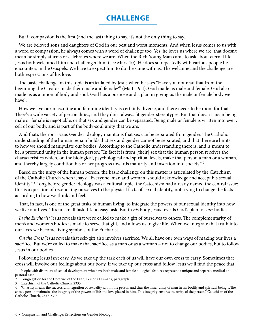#### **CHALLENGE**

But if compassion is the first (and the last) thing to say, it's not the only thing to say.

We are beloved sons and daughters of God in our best and worst moments. And when Jesus comes to us with a word of compassion, he always comes with a word of challenge too. Yes, he loves us where we are; that doesn't mean he simply affirms or celebrates where we are. When the Rich Young Man came to ask about eternal life Jesus both welcomed him and challenged him (see Mark 10). He does so repeatedly with various people he encounters in the Gospels. We have to expect him to do the same with us. The welcome and the challenge are both expressions of his love.

The basic challenge on this topic is articulated by Jesus when he says "Have you not read that from the beginning the Creator made them male and female?" (Matt. 19:4). God made us male and female. God also made us as a union of body and soul. God has a purpose and a plan in giving us the male or female body we have<sup>1</sup>.

How we live our masculine and feminine identity is certainly diverse, and there needs to be room for that. There's a wide variety of personalities, and they don't always fit gender-stereotypes. But that doesn't mean being male or female is negotiable, or that sex and gender can be separated. Being male or female is written into every cell of our body, and is part of the body-soul unity that we are.

And that's the root issue. Gender ideology maintains that sex can be separated from gender. The Catholic understanding of the human person holds that sex and gender cannot be separated, and that there are limits to how we should manipulate our bodies. According to the Catholic understanding there is, and is meant to be, a profound unity in the human person: "In fact it is from [their] sex that the human person receives the characteristics which, on the biological, psychological and spiritual levels, make that person a man or a woman, and thereby largely condition his or her progress towards maturity and insertion into society." <sup>2</sup>

Based on the unity of the human person, the basic challenge on this matter is articulated by the Catechism of the Catholic Church when it says: "Everyone, man and woman, should acknowledge and accept his sexual identity." 3 Long before gender ideology was a cultural topic, the Catechism had already named the central issue: this is a question of reconciling ourselves to the physical facts of sexual identity, not trying to change the facts according to how we think and feel.

That, in fact, is one of the great tasks of human living: to integrate the powers of our sexual identity into how we live our lives. 4 It's no small task. It's no easy task. But in *his* body Jesus reveals God's plan for *our* bodies.

*In the Eucharist* Jesus reveals that we're called to make a gift of ourselves to others. The complementarity of men's and women's bodies is made to serve that gift, and allows us to give life. When we integrate that truth into our lives we become living symbols of the Eucharist.

*On the Cross* Jesus reveals that self-gift also involves sacrifice. We all have our own ways of making our lives a sacrifice. But we're called to make that sacrifice as a man or as a woman – not to change our bodies, but to follow Jesus in our bodies.

Following Jesus isn't easy. As we take up the task each of us will have our own cross to carry. Sometimes that cross will involve our feelings about our body. If we take up our cross and follow Jesus we'll find the peace that

<sup>1</sup> People with disorders of sexual development who have both male and female biological features represent a unique and separate medical and pastoral case.

<sup>2</sup> Congregation for the Doctrine of the Faith, Persona Humana, paragraph 1.

<sup>3</sup> Catechism of the Catholic Church, 2333.

<sup>4</sup> "Chastity means the successful integration of sexuality within the person and thus the inner unity of man in his bodily and spiritual being…The chaste person maintains the integrity of the powers of life and love placed in him. This integrity ensures the unity of the person." Catechism of the Catholic Church, 2337-2338.

<sup>4 •</sup> Compassion and Challenge: Reflections on Gender Ideology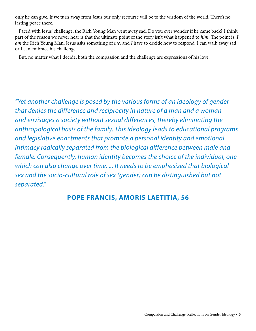only he can give. If we turn away from Jesus our only recourse will be to the wisdom of the world. There's no lasting peace there.

Faced with Jesus' challenge, the Rich Young Man went away sad. Do you ever wonder if he came back? I think part of the reason we never hear is that the ultimate point of the story isn't what happened to *him*. The point is: *I am* the Rich Young Man, Jesus asks something of *me*, and *I* have to decide how to respond. I can walk away sad, or I can embrace his challenge.

But, no matter what I decide, both the compassion and the challenge are expressions of his love.

*"Yet another challenge is posed by the various forms of an ideology of gender that denies the difference and reciprocity in nature of a man and a woman and envisages a society without sexual differences, thereby eliminating the anthropological basis of the family. This ideology leads to educational programs and legislative enactments that promote a personal identity and emotional intimacy radically separated from the biological difference between male and female. Consequently, human identity becomes the choice of the individual, one which can also change over time. ... It needs to be emphasized that biological sex and the socio-cultural role of sex (gender) can be distinguished but not separated."*

#### **POPE FRANCIS, AMORIS LAETITIA, 56**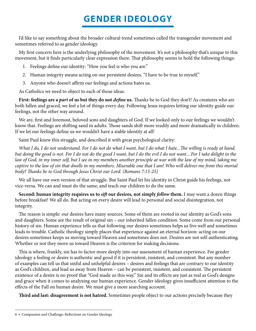# **GENDER IDEOLOGY**

I'd like to say something about the broader cultural trend sometimes called the transgender movement and sometimes referred to as gender ideology.

My first concern here is the underlying philosophy of the movement. It's not a philosophy that's unique to this movement, but it finds particularly clear expression there. That philosophy seems to hold the following things:

- 1. Feelings define our identity: "How you feel is who you are."
- 2. Human integrity means acting on our persistent desires. "I have to be true to myself."
- 3. Anyone who doesn't affirm our feelings and actions hates us.

As Catholics we need to object to each of those ideas.

First: feelings are a *part* of us but they do not *define* us. Thanks be to God they don't! As creatures who are both fallen and graced, we feel a lot of things every day. Following Jesus requires letting our identity guide our feelings, not the other way around.

We are, first and foremost, beloved sons and daughters of God. If we looked only to our feelings we wouldn't know that. Feelings are shifting sand in adults. Those sands shift more readily and more dramatically in children. If we let our feelings define us we wouldn't have a stable identity at all!

Saint Paul knew this struggle, and described it with great psychological clarity:

*What I do, I do not understand. For I do not do what I want, but I do what I hate...The willing is ready at hand, but doing the good is not. For I do not do the good I want, but I do the evil I do not want…For I take delight in the law of God, in my inner self, but I see in my members another principle at war with the law of my mind, taking me*  captive to the law of sin that dwells in my members. Miserable one that I am! Who will deliver me from this mortal *body? Thanks be to God through Jesus Christ our Lord. (Romans 7:15-25)*

We all have our own version of that struggle. But Saint Paul let his identity in Christ guide his feelings, not vice-versa. We can and must do the same, and teach our children to do the same.

**Second: human integrity requires us to** *sift* **our desires, not simply** *follow* **them.** I may want a dozen things before breakfast! We all do. But acting on every desire will lead to personal and social disintegration, not integrity.

The reason is simple: our desires have many sources. Some of them are rooted in our identity as God's sons and daughters. Some are the result of original sin – our inherited fallen condition. Some come from our personal history of sin. Human experience tells us that following our desires sometimes helps us live well and sometimes leads to trouble. Catholic theology simply places that experience against an eternal horizon: acting on our desires sometimes keeps us moving toward Heaven and sometimes does not. Desires are not self-authenticating. Whether or not they move us toward Heaven is the criterion for making decisions.

This is where, frankly, sin has to factor more deeply into our assessment of human experience. For gender ideology a feeling or desire is authentic and good if it is persistent, insistent, and consistent. But any number of examples can tell us that sinful and unhelpful desires – desires and feelings that are contrary to our identity as God's children, and lead us away from Heaven – can be persistent, insistent, and consistent. The persistent existence of a desire is no proof that "God made us this way." Sin and its effects are just as real as God's designs and grace when it comes to analyzing our human experience. Gender ideology gives insufficient attention to the effects of the Fall on human desire. We must give a more searching account.

**Third and last: disagreement is not hatred.** Sometimes people object to our actions precisely because they

<sup>6 •</sup> Compassion and Challenge: Reflections on Gender Ideology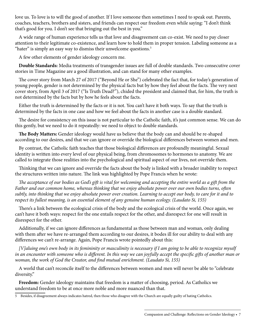love us. To love is to will the good of another. If I love someone then sometimes I need to speak out. Parents, coaches, teachers, brothers and sisters, and friends can respect our freedom even while saying: "I don't think that's good for you. I don't see that bringing out the best in you."

A wide range of human experience tells us that love and disagreement can co-exist. We need to pay closer attention to their legitimate co-existence, and learn how to hold them in proper tension. Labeling someone as a "hater" is simply an easy way to dismiss their unwelcome questions. $5$ 

A few other elements of gender ideology concern me.

**Double Standards:** Media treatments of transgender issues are full of double standards. Two consecutive cover stories in Time Magazine are a good illustration, and can stand for many other examples.

The cover story from March 27 of 2017 ("Beyond He or She") celebrated the fact that, for today's generation of young people, gender is not determined by the physical facts but by how they feel about the facts. The very next cover story, from April 3 of 2017 ("Is Truth Dead?"), chided the president and claimed that, for him, the truth is not determined by the facts but by how he feels about the facts.

Either the truth is determined by the facts or it is not. You can't have it both ways. To say that the truth is determined by the facts in one case and how we feel about the facts in another case is a double standard.

The desire for consistency on this issue is not particular to the Catholic faith, it's just common sense. We can do this gently, but we need to do it repeatedly: we need to object to double standards.

**The Body Matters:** Gender ideology would have us believe that the body can and should be re-shaped according to our desires, and that we can ignore or override the biological differences between women and men.

By contrast, the Catholic faith teaches that those biological differences are profoundly meaningful. Sexual identity is written into every level of our physical being, from chromosomes to hormones to anatomy. We are called to integrate those realities into the psychological and spiritual aspect of our lives, not override them.

Thinking that we can ignore and override the facts about the body is linked with a broader inability to respect the structures written into nature. The link was highlighted by Pope Francis when he wrote:

*The acceptance of our bodies as God's gift is vital for welcoming and accepting the entire world as a gift from the Father and our common home, whereas thinking that we enjoy absolute power over our own bodies turns, often subtly, into thinking that we enjoy absolute power over creation. Learning to accept our body, to care for it and to respect its fullest meaning, is an essential element of any genuine human ecology. (Laudato Si, 155)*

There's a link between the ecological crisis of the body and the ecological crisis of the world. Once again, we can't have it both ways: respect for the one entails respect for the other, and disrespect for one will result in disrespect for the other.

Additionally, if we can ignore differences as fundamental as those between man and woman, only dealing with them after we have re-arranged them according to our desires, it bodes ill for our ability to deal with any differences we can't re-arrange. Again, Pope Francis wrote pointedly about this:

*[V]aluing one's own body in its femininity or masculinity is necessary if I am going to be able to recognize myself in an encounter with someone who is different. In this way we can joyfully accept the specific gifts of another man or woman, the work of God the Creator, and find mutual enrichment. (Laudato Si, 155)*

A world that can't reconcile itself to the differences between women and men will never be able to "celebrate diversity."

**Freedom:** Gender ideology maintains that freedom is a matter of choosing, period. As Catholics we understand freedom to be at once more noble and more nuanced than that.

<sup>5</sup> Besides, if disagreement always indicates hatred, then those who disagree with the Church are equally guilty of hating Catholics.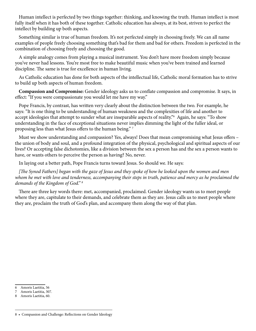Human intellect is perfected by two things together: thinking, and knowing the truth. Human intellect is most fully itself when it has both of these together. Catholic education has always, at its best, striven to perfect the intellect by building up both aspects.

Something similar is true of human freedom. It's not perfected simply in choosing freely. We can all name examples of people freely choosing something that's bad for them and bad for others. Freedom is perfected in the combination of choosing freely and choosing the good.

A simple analogy comes from playing a musical instrument. You don't have more freedom simply because you've never had lessons. You're most free to make beautiful music when you've been trained and learned discipline. The same is true for excellence in human living.

As Catholic education has done for both aspects of the intellectual life, Catholic moral formation has to strive to build up both aspects of human freedom.

**Compassion and Compromise:** Gender ideology asks us to conflate compassion and compromise. It says, in effect: "If you were compassionate you would let me have my way."

Pope Francis, by contrast, has written very clearly about the distinction between the two. For example, he says: "It is one thing to be understanding of human weakness and the complexities of life and another to accept ideologies that attempt to sunder what are inseparable aspects of reality."6 Again, he says: "To show understanding in the face of exceptional situations never implies dimming the light of the fuller ideal, or proposing less than what Jesus offers to the human being." 7

Must we show understanding and compassion? Yes, always! Does that mean compromising what Jesus offers – the union of body and soul, and a profound integration of the physical, psychological and spiritual aspects of our lives? Or accepting false dichotomies, like a division between the sex a person has and the sex a person wants to have, or wants others to perceive the person as having? No, never.

In laying out a better path, Pope Francis turns toward Jesus. So should we. He says:

*[The Synod Fathers] began with the gaze of Jesus and they spoke of how he looked upon the women and men whom he met with love and tenderness, accompanying their steps in truth, patience and mercy as he proclaimed the demands of the Kingdom of God." 8*

There are three key words there: met, accompanied, proclaimed. Gender ideology wants us to meet people where they are, capitulate to their demands, and celebrate them as they are. Jesus calls us to meet people where they are, proclaim the truth of God's plan, and accompany them along the way of that plan.

<sup>6</sup> Amoris Laetitia, 56

<sup>7</sup> Amoris Laetitia, 307.

<sup>8</sup> Amoris Laetitia, 60.

<sup>8 •</sup> Compassion and Challenge: Reflections on Gender Ideology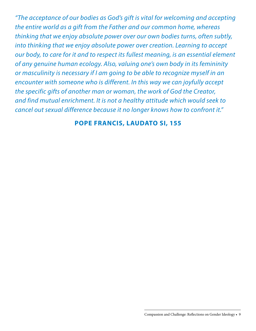*"The acceptance of our bodies as God's gift is vital for welcoming and accepting the entire world as a gift from the Father and our common home, whereas thinking that we enjoy absolute power over our own bodies turns, often subtly, into thinking that we enjoy absolute power over creation. Learning to accept our body, to care for it and to respect its fullest meaning, is an essential element of any genuine human ecology. Also, valuing one's own body in its femininity or masculinity is necessary if I am going to be able to recognize myself in an encounter with someone who is different. In this way we can joyfully accept the specific gifts of another man or woman, the work of God the Creator, and find mutual enrichment. It is not a healthy attitude which would seek to cancel out sexual difference because it no longer knows how to confront it."*

#### **POPE FRANCIS, LAUDATO SI, 155**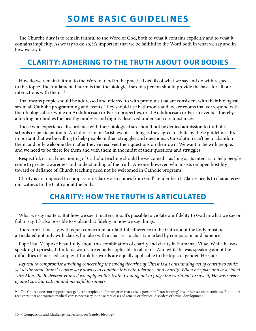# **SOME BASIC GUIDELINES**

The Church's duty is to remain faithful to the Word of God, both to what it contains explicitly and to what it contains implicitly. As we try to do so, it's important that we be faithful to the Word both in what we say and in how we say it.

### **CLARITY: ADHERING TO THE TRUTH ABOUT OUR BODIES**

How do we remain faithful to the Word of God in the practical details of what we say and do with respect to this topic? The fundamental norm is that the biological sex of a person should provide the basis for all our interactions with them.<sup>9</sup>

That means people should be addressed and referred to with pronouns that are consistent with their biological sex in all Catholic programming and events. They should use bathrooms and locker rooms that correspond with their biological sex while on Archdiocesan or Parish properties, or at Archdiocesan or Parish events – thereby affording our bodies the healthy modesty and dignity deserved under such circumstances.

Those who experience discordance with their biological sex should not be denied admission to Catholic schools or participation in Archdiocesan or Parish events as long as they agree to abide by these guidelines. It's important that we be willing to help people in their struggles and questions. Our solution can't be to abandon them, and only welcome them after they've resolved their questions on their own. We want to be with people, and we need to be there for them and with them in the midst of their questions and struggles.

Respectful, critical questioning of Catholic teaching should be welcomed – as long as its intent is to help people come to greater awareness and understanding of the truth. Anyone, however, who insists on open hostility toward or defiance of Church teaching need not be welcomed in Catholic programs.

Clarity is not opposed to compassion. Clarity also comes from God's tender heart. Clarity needs to characterize our witness to the truth about the body.

## **CHARITY: HOW THE TRUTH IS ARTICULATED**

What we say matters. But how we say it matters, too. It's possible to violate our fidelity to God in what we say or fail to say. It's also possible to violate that fidelity in how we say things.

Therefore let me say, with equal conviction: our faithful adherence to the truth about the body must be articulated not only with clarity, but also with a charity – a charity marked by compassion and patience.

Pope Paul VI spoke beautifully about this combination of charity and clarity in Humanae Vitae. While he was speaking to priests, I think his words are equally applicable to all of us. And while he was speaking about the difficulties of married couples, I think his words are equally applicable to the topic of gender. He said:

*Refusal to compromise anything concerning the saving doctrine of Christ is an outstanding act of charity to souls; yet at the same time it is necessary always to combine this with tolerance and charity. When he spoke and associated with Men, the Redeemer Himself exemplified this truth. Coming not to judge the world but to save it, He was severe against sin, but patient and merciful to sinners.*

<sup>9</sup> The Church does not support transgender therapies and/or surgeries that assist a person in "transitioning" his or her sex characteristics. But it does recognize that appropriate medical care is necessary in those rare cases of genetic or physical disorders of sexual development.

<sup>10 •</sup> Compassion and Challenge: Reflections on Gender Ideology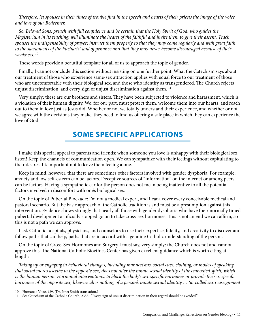*Therefore, let spouses in their times of trouble find in the speech and hearts of their priests the image of the voice and love of our Redeemer.*

*So, Beloved Sons, preach with full confidence and be certain that the Holy Spirit of God, who guides the Magisterium in its teaching, will illuminate the hearts of the faithful and invite them to give their assent. Teach spouses the indispensability of prayer; instruct them properly so that they may come regularly and with great faith to the sacraments of the Eucharist and of penance and that they may never become discouraged because of their weakness. 10*

These words provide a beautiful template for all of us to approach the topic of gender.

Finally, I cannot conclude this section without insisting on one further point. What the Catechism says about our treatment of those who experience same-sex attraction applies with equal force to our treatment of those who are uncomfortable with their biological sex, and those who identify as transgendered. The Church rejects unjust discrimination, and every sign of unjust discrimination against them. 11

Very simply: these are our brothers and sisters. They have been subjected to violence and harassment, which is a violation of their human dignity. We, for our part, must protect them, welcome them into our hearts, and reach out to them in love just as Jesus did. Whether or not we totally understand their experience, and whether or not we agree with the decisions they make, they need to find us offering a safe place in which they can experience the love of God.

#### **SOME SPECIFIC APPLICATIONS**

I make this special appeal to parents and friends: when someone you love is unhappy with their biological sex, listen! Keep the channels of communication open. We can sympathize with their feelings without capitulating to their desires. It's important not to leave them feeling alone.

Keep in mind, however, that there are sometimes other factors involved with gender dysphoria. For example, anxiety and low self-esteem can be factors. Deceptive sources of "information" on the internet or among peers can be factors. Having a sympathetic ear for the person does not mean being inattentive to all the potential factors involved in discomfort with one's biological sex.

On the topic of Pubertal Blockade: I'm not a medical expert, and I can't cover every conceivable medical and pastoral scenario. But the basic approach of the Catholic tradition is and must be a presumption against this intervention. Evidence shows strongly that nearly all those with gender dysphoria who have their normally timed pubertal development artificially stopped go on to take cross-sex hormones. This is not an end we can affirm, so this is not a path we can approve.

I ask Catholic hospitals, physicians, and counselors to use their expertise, fidelity, and creativity to discover and follow paths that can help, paths that are in accord with a genuine Catholic understanding of the person.

On the topic of Cross-Sex Hormones and Surgery I must say, very simply: the Church does not and cannot approve this. The National Catholic Bioethics Center has given excellent guidance which is worth citing at length:

*Taking up or engaging in behavioral changes, including mannerisms, social cues, clothing, or modes of speaking that social mores ascribe to the opposite sex, does not alter the innate sexual identity of the embodied spirit, which is the human person. Hormonal interventions, to block the body's sex-specific hormones or provide the sex-specific hormones of the opposite sex, likewise alter nothing of a person's innate sexual identity … So-called sex reassignment* 

<sup>10</sup> Humanae Vitae, #29. (Dr. Janet Smith translation.)

<sup>11</sup> See Catechism of the Catholic Church, 2358. "Every sign of unjust discrimination in their regard should be avoided."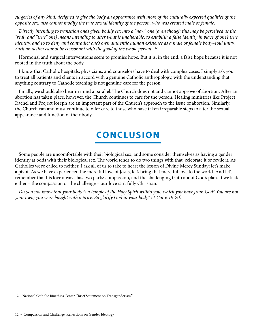*surgeries of any kind, designed to give the body an appearance with more of the culturally expected qualities of the opposite sex, also cannot modify the true sexual identity of the person, who was created male or female.* 

*Directly intending to transition one's given bodily sex into a "new" one (even though this may be perceived as the "real" and "true" one) means intending to alter what is unalterable, to establish a false identity in place of one's true identity, and so to deny and contradict one's own authentic human existence as a male or female body–soul unity. Such an action cannot be consonant with the good of the whole person. 12*

Hormonal and surgical interventions seem to promise hope. But it is, in the end, a false hope because it is not rooted in the truth about the body.

I know that Catholic hospitals, physicians, and counselors have to deal with complex cases. I simply ask you to treat all patients and clients in accord with a genuine Catholic anthropology, with the understanding that anything contrary to Catholic teaching is not genuine care for the person.

Finally, we should also bear in mind a parallel. The Church does not and cannot approve of abortion. After an abortion has taken place, however, the Church continues to care for the person. Healing ministries like Project Rachel and Project Joseph are an important part of the Church's approach to the issue of abortion. Similarly, the Church can and must continue to offer care to those who have taken irreparable steps to alter the sexual appearance and function of their body.

## **CONCLUSION**

Some people are uncomfortable with their biological sex, and some consider themselves as having a gender identity at odds with their biological sex. The world tends to do two things with that: celebrate it or revile it. As Catholics we're called to neither. I ask all of us to take to heart the lesson of Divine Mercy Sunday: let's make a pivot. As we have experienced the merciful love of Jesus, let's bring that merciful love to the world. And let's remember that his love always has two parts: compassion, and the challenging truth about God's plan. If we lack either – the compassion or the challenge – our love isn't fully Christian.

*Do you not know that your body is a temple of the Holy Spirit within you, which you have from God? You are not your own; you were bought with a price. So glorify God in your body." (1 Cor 6:19-20)*

<sup>12</sup> National Catholic Bioethics Center, "Brief Statement on Transgenderism."

<sup>12 •</sup> Compassion and Challenge: Reflections on Gender Ideology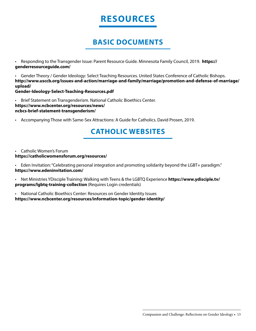## **RESOURCES**

#### **BASIC DOCUMENTS**

• Responding to the Transgender Issue: Parent Resource Guide. Minnesota Family Council, 2019. **https:// genderresourceguide.com/**

• Gender Theory / Gender Ideology: Select Teaching Resources. United States Conference of Catholic Bishops. **http://www.usccb.org/issues-and-action/marriage-and-family/marriage/promotion-and-defense-of-marriage/ upload/**

**Gender-Ideology-Select-Teaching-Resources.pdf**

• Brief Statement on Transgenderism. National Catholic Bioethics Center. **https://www.ncbcenter.org/resources/news/ ncbcs-brief-statement-transgenderism/**

• Accompanying Those with Same-Sex Attractions: A Guide for Catholics. David Prosen, 2019.

### **CATHOLIC WEBSITES**

• Catholic Women's Forum **https://catholicwomensforum.org/resources/** 

• Eden Invitation: "Celebrating personal integration and promoting solidarity beyond the LGBT+ paradigm." **https://www.edeninvitation.com/** 

• Net Ministries YDisciple Training: Walking with Teens & the LGBTQ Experience **https://www.ydisciple.tv/ programs/lgbtq-training-collection** (Requires Login credentials)

• National Catholic Bioethics Center: Resources on Gender Identity Issues **https://www.ncbcenter.org/resources/information-topic/gender-identity/**